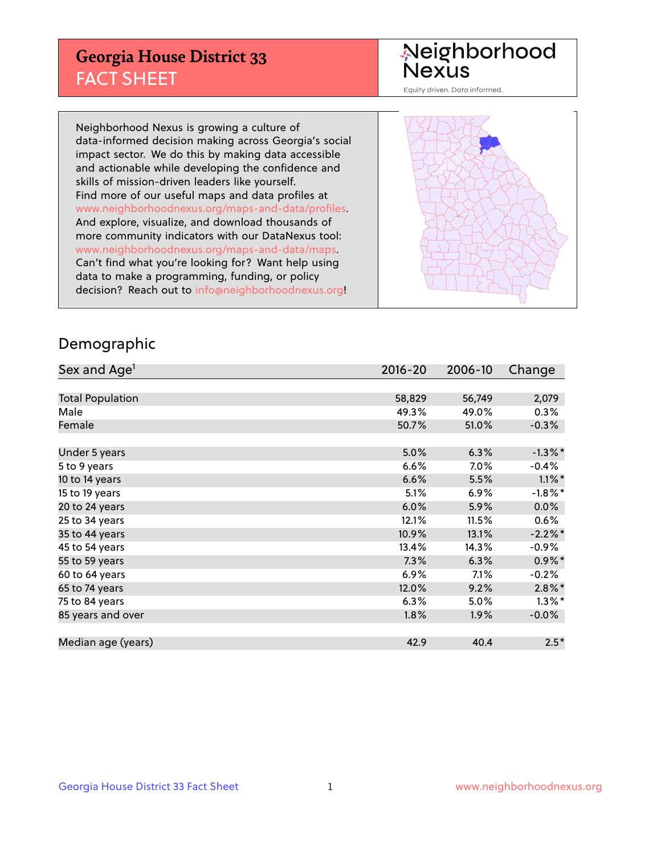## **Georgia House District 33** FACT SHEET

# Neighborhood<br>Nexus

Equity driven. Data informed.

Neighborhood Nexus is growing a culture of data-informed decision making across Georgia's social impact sector. We do this by making data accessible and actionable while developing the confidence and skills of mission-driven leaders like yourself. Find more of our useful maps and data profiles at www.neighborhoodnexus.org/maps-and-data/profiles. And explore, visualize, and download thousands of more community indicators with our DataNexus tool: www.neighborhoodnexus.org/maps-and-data/maps. Can't find what you're looking for? Want help using data to make a programming, funding, or policy decision? Reach out to [info@neighborhoodnexus.org!](mailto:info@neighborhoodnexus.org)



#### Demographic

| Sex and Age <sup>1</sup> | $2016 - 20$ | 2006-10 | Change     |
|--------------------------|-------------|---------|------------|
|                          |             |         |            |
| <b>Total Population</b>  | 58,829      | 56,749  | 2,079      |
| Male                     | 49.3%       | 49.0%   | $0.3\%$    |
| Female                   | 50.7%       | 51.0%   | $-0.3%$    |
|                          |             |         |            |
| Under 5 years            | 5.0%        | 6.3%    | $-1.3\%$ * |
| 5 to 9 years             | 6.6%        | $7.0\%$ | $-0.4%$    |
| 10 to 14 years           | 6.6%        | 5.5%    | $1.1\%$ *  |
| 15 to 19 years           | 5.1%        | 6.9%    | $-1.8\%$ * |
| 20 to 24 years           | 6.0%        | 5.9%    | 0.0%       |
| 25 to 34 years           | 12.1%       | 11.5%   | $0.6\%$    |
| 35 to 44 years           | 10.9%       | 13.1%   | $-2.2%$ *  |
| 45 to 54 years           | 13.4%       | 14.3%   | $-0.9%$    |
| 55 to 59 years           | 7.3%        | 6.3%    | $0.9\%$ *  |
| 60 to 64 years           | 6.9%        | 7.1%    | $-0.2%$    |
| 65 to 74 years           | 12.0%       | 9.2%    | $2.8\%$ *  |
| 75 to 84 years           | 6.3%        | 5.0%    | $1.3\%$ *  |
| 85 years and over        | 1.8%        | 1.9%    | $-0.0%$    |
|                          |             |         |            |
| Median age (years)       | 42.9        | 40.4    | $2.5*$     |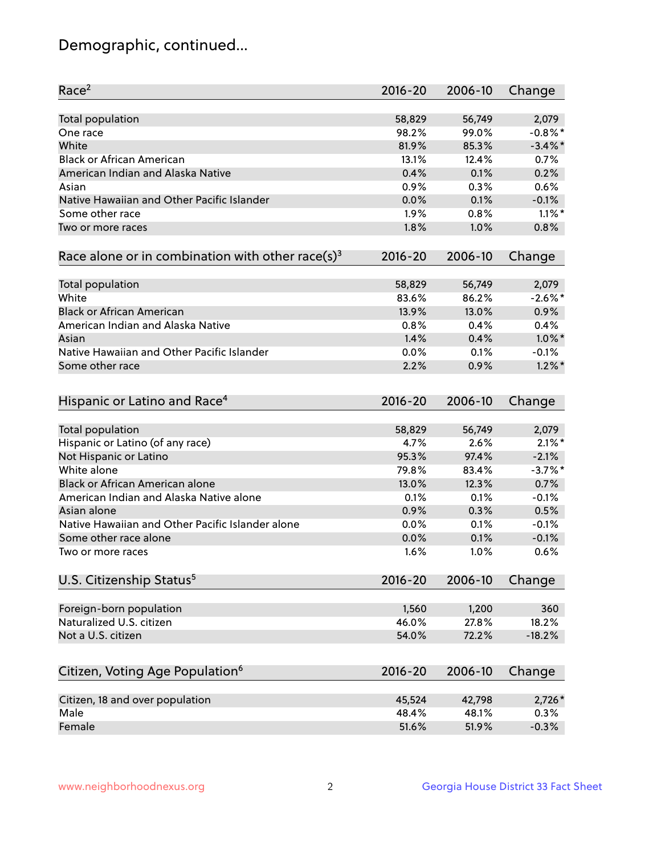## Demographic, continued...

| Race <sup>2</sup>                                            | $2016 - 20$    | 2006-10 | Change     |
|--------------------------------------------------------------|----------------|---------|------------|
| <b>Total population</b>                                      | 58,829         | 56,749  | 2,079      |
| One race                                                     | 98.2%          | 99.0%   | $-0.8\%$ * |
| White                                                        | 81.9%          | 85.3%   | $-3.4\%$ * |
| <b>Black or African American</b>                             | 13.1%          | 12.4%   | 0.7%       |
| American Indian and Alaska Native                            | 0.4%           | 0.1%    | 0.2%       |
| Asian                                                        | 0.9%           | 0.3%    | 0.6%       |
| Native Hawaiian and Other Pacific Islander                   | 0.0%           | 0.1%    | $-0.1%$    |
| Some other race                                              | 1.9%           | 0.8%    | $1.1\%$ *  |
| Two or more races                                            | 1.8%           | 1.0%    | 0.8%       |
| Race alone or in combination with other race(s) <sup>3</sup> | $2016 - 20$    | 2006-10 | Change     |
|                                                              |                |         |            |
| Total population                                             | 58,829         | 56,749  | 2,079      |
| White                                                        | 83.6%          | 86.2%   | $-2.6\%$ * |
| <b>Black or African American</b>                             | 13.9%          | 13.0%   | 0.9%       |
| American Indian and Alaska Native                            | 0.8%           | 0.4%    | 0.4%       |
| Asian                                                        | 1.4%           | 0.4%    | $1.0\%$ *  |
| Native Hawaiian and Other Pacific Islander                   | 0.0%           | 0.1%    | $-0.1%$    |
| Some other race                                              | 2.2%           | 0.9%    | $1.2\%$ *  |
|                                                              |                |         |            |
| Hispanic or Latino and Race <sup>4</sup>                     | $2016 - 20$    | 2006-10 | Change     |
| Total population                                             | 58,829         | 56,749  | 2,079      |
| Hispanic or Latino (of any race)                             | 4.7%           | 2.6%    | $2.1\%$ *  |
| Not Hispanic or Latino                                       | 95.3%          | 97.4%   | $-2.1%$    |
| White alone                                                  | 79.8%          | 83.4%   | $-3.7\%$ * |
| Black or African American alone                              | 13.0%          | 12.3%   | 0.7%       |
|                                                              |                |         |            |
| American Indian and Alaska Native alone                      | 0.1%           | 0.1%    | $-0.1%$    |
| Asian alone                                                  | 0.9%           | 0.3%    | 0.5%       |
| Native Hawaiian and Other Pacific Islander alone             | 0.0%           | 0.1%    | $-0.1%$    |
| Some other race alone                                        | 0.0%           | 0.1%    | $-0.1%$    |
| Two or more races                                            | 1.6%           | 1.0%    | 0.6%       |
| U.S. Citizenship Status <sup>5</sup>                         | $2016 - 20$    | 2006-10 | Change     |
|                                                              |                | 1,200   | 360        |
| Foreign-born population<br>Naturalized U.S. citizen          | 1,560<br>46.0% | 27.8%   | 18.2%      |
|                                                              |                |         |            |
| Not a U.S. citizen                                           | 54.0%          | 72.2%   | $-18.2%$   |
| Citizen, Voting Age Population <sup>6</sup>                  | $2016 - 20$    | 2006-10 | Change     |
| Citizen, 18 and over population                              | 45,524         | 42,798  | 2,726*     |
| Male                                                         | 48.4%          | 48.1%   | 0.3%       |
| Female                                                       | 51.6%          | 51.9%   | $-0.3%$    |
|                                                              |                |         |            |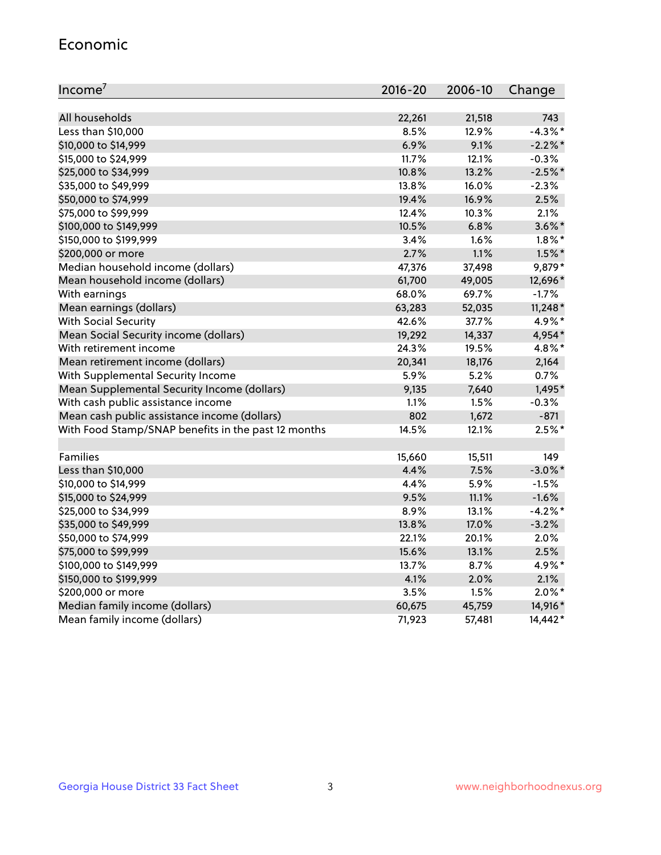#### Economic

| Income <sup>7</sup>                                 | $2016 - 20$ | 2006-10 | Change     |
|-----------------------------------------------------|-------------|---------|------------|
|                                                     |             |         |            |
| All households                                      | 22,261      | 21,518  | 743        |
| Less than \$10,000                                  | 8.5%        | 12.9%   | $-4.3\%$ * |
| \$10,000 to \$14,999                                | 6.9%        | 9.1%    | $-2.2\%$ * |
| \$15,000 to \$24,999                                | 11.7%       | 12.1%   | $-0.3%$    |
| \$25,000 to \$34,999                                | 10.8%       | 13.2%   | $-2.5%$ *  |
| \$35,000 to \$49,999                                | 13.8%       | 16.0%   | $-2.3%$    |
| \$50,000 to \$74,999                                | 19.4%       | 16.9%   | 2.5%       |
| \$75,000 to \$99,999                                | 12.4%       | 10.3%   | 2.1%       |
| \$100,000 to \$149,999                              | 10.5%       | 6.8%    | $3.6\%$ *  |
| \$150,000 to \$199,999                              | 3.4%        | 1.6%    | $1.8\%$ *  |
| \$200,000 or more                                   | 2.7%        | 1.1%    | $1.5\%$ *  |
| Median household income (dollars)                   | 47,376      | 37,498  | 9,879*     |
| Mean household income (dollars)                     | 61,700      | 49,005  | 12,696*    |
| With earnings                                       | 68.0%       | 69.7%   | $-1.7%$    |
| Mean earnings (dollars)                             | 63,283      | 52,035  | $11,248*$  |
| <b>With Social Security</b>                         | 42.6%       | 37.7%   | 4.9%*      |
| Mean Social Security income (dollars)               | 19,292      | 14,337  | 4,954*     |
| With retirement income                              | 24.3%       | 19.5%   | 4.8%*      |
| Mean retirement income (dollars)                    | 20,341      | 18,176  | 2,164      |
| With Supplemental Security Income                   | 5.9%        | 5.2%    | 0.7%       |
| Mean Supplemental Security Income (dollars)         | 9,135       | 7,640   | 1,495*     |
| With cash public assistance income                  | 1.1%        | 1.5%    | $-0.3%$    |
| Mean cash public assistance income (dollars)        | 802         | 1,672   | $-871$     |
| With Food Stamp/SNAP benefits in the past 12 months | 14.5%       | 12.1%   | $2.5%$ *   |
|                                                     |             |         |            |
| Families                                            | 15,660      | 15,511  | 149        |
| Less than \$10,000                                  | 4.4%        | 7.5%    | $-3.0\%$ * |
| \$10,000 to \$14,999                                | 4.4%        | 5.9%    | $-1.5%$    |
| \$15,000 to \$24,999                                | 9.5%        | 11.1%   | $-1.6%$    |
| \$25,000 to \$34,999                                | 8.9%        | 13.1%   | $-4.2%$ *  |
| \$35,000 to \$49,999                                | 13.8%       | 17.0%   | $-3.2%$    |
| \$50,000 to \$74,999                                | 22.1%       | 20.1%   | 2.0%       |
| \$75,000 to \$99,999                                | 15.6%       | 13.1%   | 2.5%       |
| \$100,000 to \$149,999                              | 13.7%       | 8.7%    | 4.9%*      |
| \$150,000 to \$199,999                              | 4.1%        | 2.0%    | 2.1%       |
| \$200,000 or more                                   | 3.5%        | 1.5%    | $2.0\%$ *  |
| Median family income (dollars)                      | 60,675      | 45,759  | 14,916*    |
| Mean family income (dollars)                        | 71,923      | 57,481  | 14,442*    |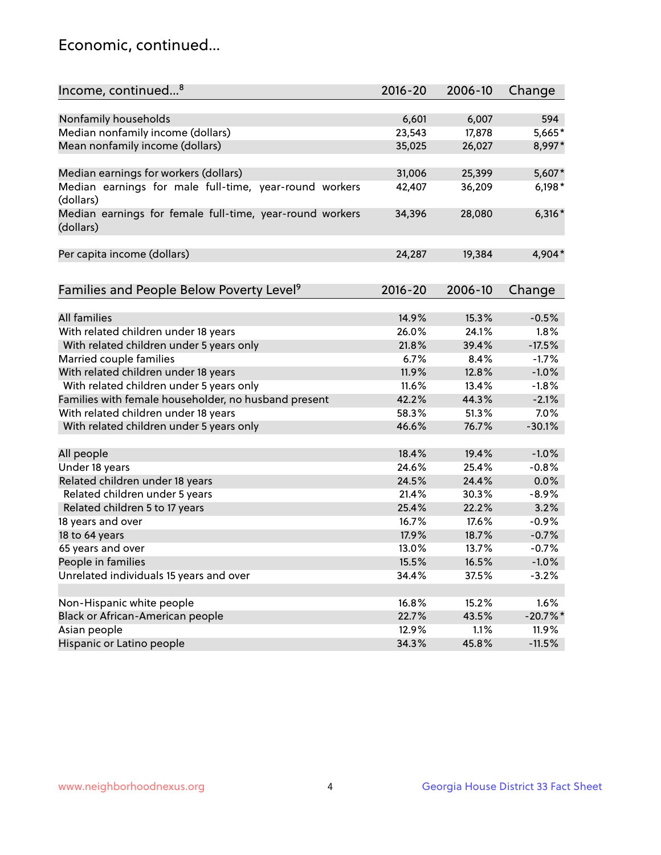## Economic, continued...

| Income, continued <sup>8</sup>                                        | $2016 - 20$ | 2006-10 | Change      |
|-----------------------------------------------------------------------|-------------|---------|-------------|
|                                                                       |             |         |             |
| Nonfamily households                                                  | 6,601       | 6,007   | 594         |
| Median nonfamily income (dollars)                                     | 23,543      | 17,878  | 5,665*      |
| Mean nonfamily income (dollars)                                       | 35,025      | 26,027  | 8,997*      |
| Median earnings for workers (dollars)                                 | 31,006      | 25,399  | 5,607*      |
| Median earnings for male full-time, year-round workers                | 42,407      | 36,209  | $6,198*$    |
| (dollars)                                                             |             |         |             |
| Median earnings for female full-time, year-round workers<br>(dollars) | 34,396      | 28,080  | $6,316*$    |
| Per capita income (dollars)                                           | 24,287      | 19,384  | 4,904*      |
|                                                                       |             |         |             |
| Families and People Below Poverty Level <sup>9</sup>                  | 2016-20     | 2006-10 | Change      |
|                                                                       |             |         |             |
| <b>All families</b>                                                   | 14.9%       | 15.3%   | $-0.5%$     |
| With related children under 18 years                                  | 26.0%       | 24.1%   | 1.8%        |
| With related children under 5 years only                              | 21.8%       | 39.4%   | $-17.5%$    |
| Married couple families                                               | 6.7%        | 8.4%    | $-1.7%$     |
| With related children under 18 years                                  | 11.9%       | 12.8%   | $-1.0%$     |
| With related children under 5 years only                              | 11.6%       | 13.4%   | $-1.8%$     |
| Families with female householder, no husband present                  | 42.2%       | 44.3%   | $-2.1%$     |
| With related children under 18 years                                  | 58.3%       | 51.3%   | 7.0%        |
| With related children under 5 years only                              | 46.6%       | 76.7%   | $-30.1%$    |
|                                                                       | 18.4%       | 19.4%   | $-1.0%$     |
| All people                                                            |             | 25.4%   | $-0.8%$     |
| Under 18 years                                                        | 24.6%       |         |             |
| Related children under 18 years                                       | 24.5%       | 24.4%   | 0.0%        |
| Related children under 5 years                                        | 21.4%       | 30.3%   | $-8.9%$     |
| Related children 5 to 17 years                                        | 25.4%       | 22.2%   | 3.2%        |
| 18 years and over                                                     | 16.7%       | 17.6%   | $-0.9%$     |
| 18 to 64 years                                                        | 17.9%       | 18.7%   | $-0.7%$     |
| 65 years and over                                                     | 13.0%       | 13.7%   | $-0.7%$     |
| People in families                                                    | 15.5%       | 16.5%   | $-1.0%$     |
| Unrelated individuals 15 years and over                               | 34.4%       | 37.5%   | $-3.2%$     |
|                                                                       |             |         |             |
| Non-Hispanic white people                                             | 16.8%       | 15.2%   | 1.6%        |
| Black or African-American people                                      | 22.7%       | 43.5%   | $-20.7\%$ * |
| Asian people                                                          | 12.9%       | 1.1%    | 11.9%       |
| Hispanic or Latino people                                             | 34.3%       | 45.8%   | $-11.5%$    |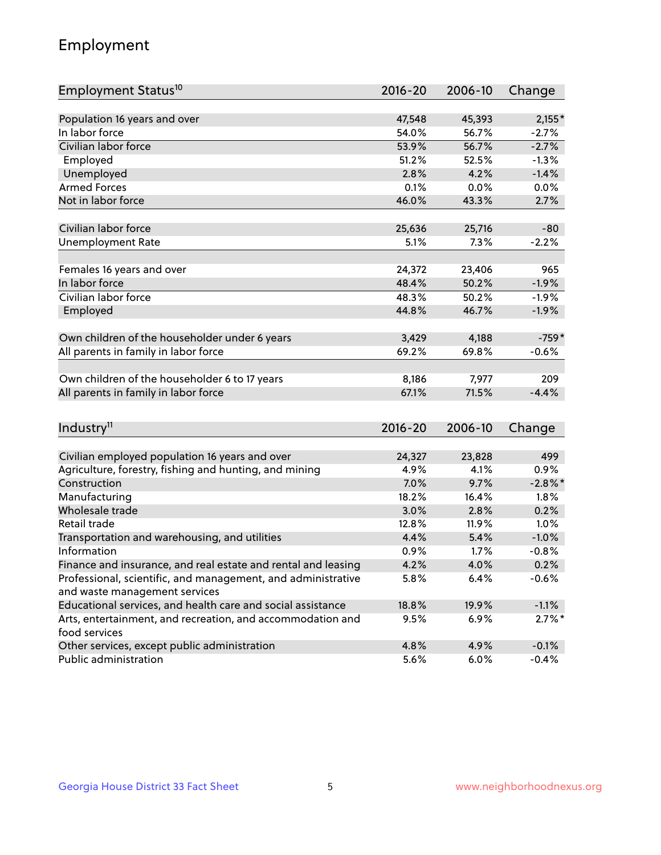## Employment

| Employment Status <sup>10</sup>                                             | $2016 - 20$ | 2006-10 | Change     |
|-----------------------------------------------------------------------------|-------------|---------|------------|
|                                                                             |             |         |            |
| Population 16 years and over                                                | 47,548      | 45,393  | $2,155*$   |
| In labor force                                                              | 54.0%       | 56.7%   | $-2.7%$    |
| Civilian labor force                                                        | 53.9%       | 56.7%   | $-2.7%$    |
| Employed                                                                    | 51.2%       | 52.5%   | $-1.3%$    |
| Unemployed                                                                  | 2.8%        | 4.2%    | $-1.4%$    |
| <b>Armed Forces</b>                                                         | 0.1%        | 0.0%    | 0.0%       |
| Not in labor force                                                          | 46.0%       | 43.3%   | 2.7%       |
|                                                                             |             |         |            |
| Civilian labor force                                                        | 25,636      | 25,716  | $-80$      |
| <b>Unemployment Rate</b>                                                    | 5.1%        | 7.3%    | $-2.2%$    |
| Females 16 years and over                                                   | 24,372      | 23,406  | 965        |
| In labor force                                                              | 48.4%       | 50.2%   | $-1.9%$    |
| Civilian labor force                                                        | 48.3%       | 50.2%   | $-1.9%$    |
| Employed                                                                    | 44.8%       | 46.7%   | $-1.9%$    |
|                                                                             |             |         |            |
| Own children of the householder under 6 years                               | 3,429       | 4,188   | $-759*$    |
| All parents in family in labor force                                        | 69.2%       | 69.8%   | $-0.6%$    |
|                                                                             |             |         |            |
| Own children of the householder 6 to 17 years                               | 8,186       | 7,977   | 209        |
| All parents in family in labor force                                        | 67.1%       | 71.5%   | $-4.4%$    |
|                                                                             |             |         |            |
| Industry <sup>11</sup>                                                      | $2016 - 20$ | 2006-10 | Change     |
|                                                                             |             |         |            |
| Civilian employed population 16 years and over                              | 24,327      | 23,828  | 499        |
| Agriculture, forestry, fishing and hunting, and mining                      | 4.9%        | 4.1%    | 0.9%       |
| Construction                                                                | 7.0%        | 9.7%    | $-2.8\%$ * |
| Manufacturing                                                               | 18.2%       | 16.4%   | 1.8%       |
| Wholesale trade                                                             | 3.0%        | 2.8%    | 0.2%       |
| Retail trade                                                                | 12.8%       | 11.9%   | 1.0%       |
| Transportation and warehousing, and utilities                               | 4.4%        | 5.4%    | $-1.0%$    |
| Information                                                                 | 0.9%        | 1.7%    | $-0.8%$    |
| Finance and insurance, and real estate and rental and leasing               | 4.2%        | 4.0%    | 0.2%       |
| Professional, scientific, and management, and administrative                | 5.8%        | 6.4%    | $-0.6%$    |
| and waste management services                                               |             |         |            |
| Educational services, and health care and social assistance                 | 18.8%       | 19.9%   | $-1.1%$    |
| Arts, entertainment, and recreation, and accommodation and<br>food services | 9.5%        | 6.9%    | $2.7\%$ *  |
| Other services, except public administration                                | 4.8%        | 4.9%    | $-0.1%$    |
| Public administration                                                       | 5.6%        | 6.0%    | $-0.4%$    |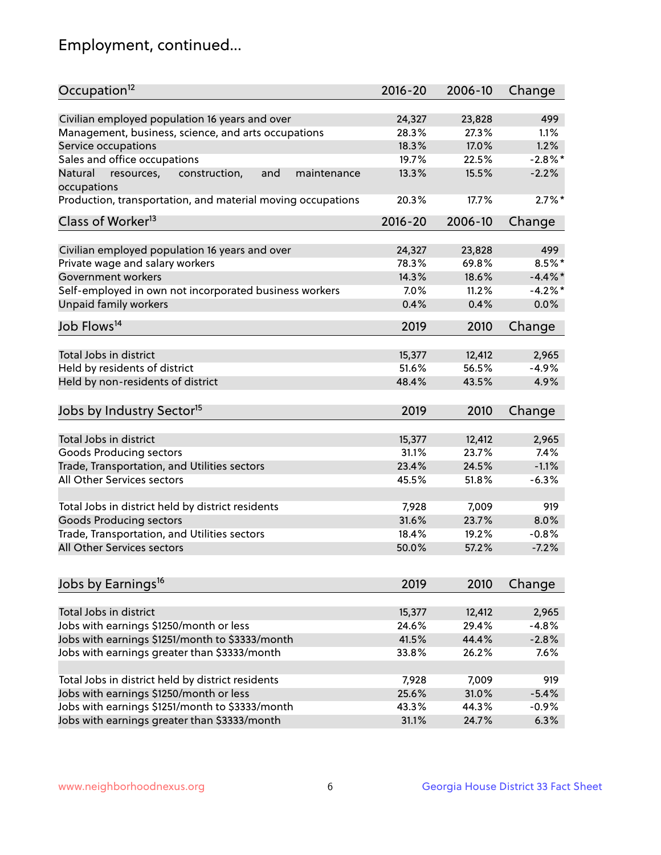## Employment, continued...

| Occupation <sup>12</sup>                                                    | $2016 - 20$ | 2006-10 | Change           |
|-----------------------------------------------------------------------------|-------------|---------|------------------|
| Civilian employed population 16 years and over                              | 24,327      | 23,828  | 499              |
| Management, business, science, and arts occupations                         | 28.3%       | 27.3%   | 1.1%             |
| Service occupations                                                         | 18.3%       | 17.0%   | 1.2%             |
| Sales and office occupations                                                | 19.7%       | 22.5%   | $-2.8\%$ *       |
|                                                                             |             |         | $-2.2%$          |
| and<br>maintenance<br>Natural<br>resources,<br>construction,<br>occupations | 13.3%       | 15.5%   |                  |
| Production, transportation, and material moving occupations                 | 20.3%       | 17.7%   | $2.7\%$ *        |
| Class of Worker <sup>13</sup>                                               | $2016 - 20$ | 2006-10 | Change           |
| Civilian employed population 16 years and over                              | 24,327      | 23,828  | 499              |
| Private wage and salary workers                                             | 78.3%       | 69.8%   | $8.5\%$ *        |
| Government workers                                                          | 14.3%       | 18.6%   | $-4.4\%$ *       |
|                                                                             | 7.0%        | 11.2%   | $-4.2%$ *        |
| Self-employed in own not incorporated business workers                      |             |         | 0.0%             |
| Unpaid family workers                                                       | 0.4%        | 0.4%    |                  |
| Job Flows <sup>14</sup>                                                     | 2019        | 2010    | Change           |
| Total Jobs in district                                                      | 15,377      | 12,412  |                  |
| Held by residents of district                                               |             |         | 2,965<br>$-4.9%$ |
|                                                                             | 51.6%       | 56.5%   |                  |
| Held by non-residents of district                                           | 48.4%       | 43.5%   | 4.9%             |
| Jobs by Industry Sector <sup>15</sup>                                       | 2019        | 2010    | Change           |
| Total Jobs in district                                                      | 15,377      | 12,412  | 2,965            |
|                                                                             | 31.1%       | 23.7%   | 7.4%             |
| Goods Producing sectors                                                     |             |         | $-1.1%$          |
| Trade, Transportation, and Utilities sectors                                | 23.4%       | 24.5%   |                  |
| All Other Services sectors                                                  | 45.5%       | 51.8%   | $-6.3%$          |
| Total Jobs in district held by district residents                           | 7,928       | 7,009   | 919              |
| <b>Goods Producing sectors</b>                                              | 31.6%       | 23.7%   | 8.0%             |
| Trade, Transportation, and Utilities sectors                                | 18.4%       | 19.2%   | $-0.8%$          |
| All Other Services sectors                                                  | 50.0%       | 57.2%   | $-7.2%$          |
|                                                                             |             |         |                  |
| Jobs by Earnings <sup>16</sup>                                              | 2019        | 2010    | Change           |
|                                                                             |             |         |                  |
| Total Jobs in district                                                      | 15,377      | 12,412  | 2,965            |
| Jobs with earnings \$1250/month or less                                     | 24.6%       | 29.4%   | $-4.8%$          |
| Jobs with earnings \$1251/month to \$3333/month                             | 41.5%       | 44.4%   | $-2.8%$          |
| Jobs with earnings greater than \$3333/month                                | 33.8%       | 26.2%   | 7.6%             |
| Total Jobs in district held by district residents                           | 7,928       | 7,009   | 919              |
| Jobs with earnings \$1250/month or less                                     | 25.6%       | 31.0%   | $-5.4%$          |
| Jobs with earnings \$1251/month to \$3333/month                             | 43.3%       | 44.3%   | $-0.9%$          |
| Jobs with earnings greater than \$3333/month                                | 31.1%       | 24.7%   | 6.3%             |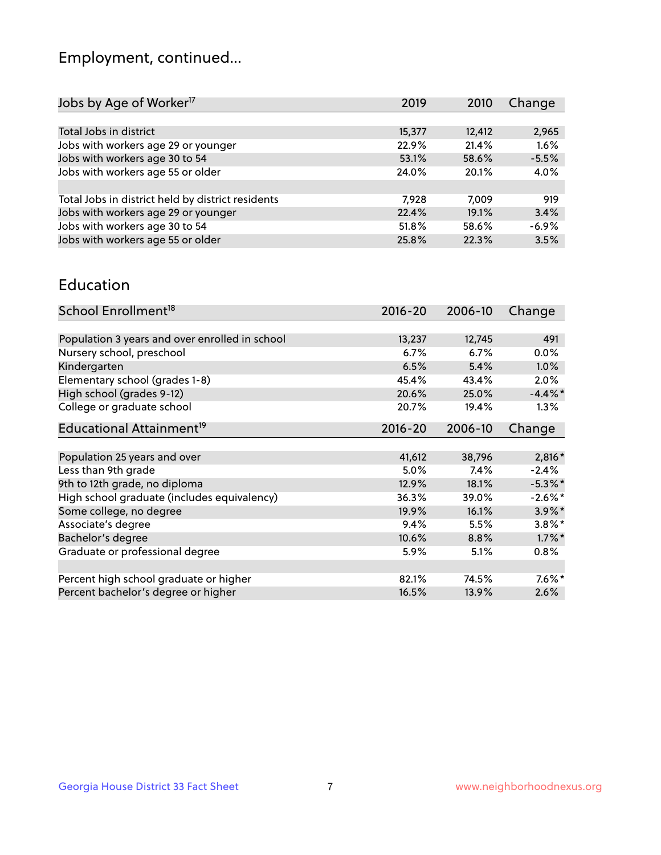## Employment, continued...

| 2019   | 2010   | Change  |
|--------|--------|---------|
|        |        |         |
| 15,377 | 12,412 | 2,965   |
| 22.9%  | 21.4%  | 1.6%    |
| 53.1%  | 58.6%  | $-5.5%$ |
| 24.0%  | 20.1%  | 4.0%    |
|        |        |         |
| 7.928  | 7,009  | 919     |
| 22.4%  | 19.1%  | 3.4%    |
| 51.8%  | 58.6%  | $-6.9%$ |
| 25.8%  | 22.3%  | 3.5%    |
|        |        |         |

#### Education

| School Enrollment <sup>18</sup>                | $2016 - 20$ | 2006-10 | Change     |
|------------------------------------------------|-------------|---------|------------|
|                                                |             |         |            |
| Population 3 years and over enrolled in school | 13,237      | 12,745  | 491        |
| Nursery school, preschool                      | 6.7%        | 6.7%    | $0.0\%$    |
| Kindergarten                                   | 6.5%        | 5.4%    | 1.0%       |
| Elementary school (grades 1-8)                 | 45.4%       | 43.4%   | 2.0%       |
| High school (grades 9-12)                      | 20.6%       | 25.0%   | $-4.4\%$   |
| College or graduate school                     | 20.7%       | 19.4%   | 1.3%       |
| Educational Attainment <sup>19</sup>           | $2016 - 20$ | 2006-10 | Change     |
|                                                |             |         |            |
| Population 25 years and over                   | 41,612      | 38,796  | 2,816*     |
| Less than 9th grade                            | 5.0%        | 7.4%    | $-2.4%$    |
| 9th to 12th grade, no diploma                  | 12.9%       | 18.1%   | $-5.3\%$ * |
| High school graduate (includes equivalency)    | 36.3%       | 39.0%   | $-2.6\%$ * |
| Some college, no degree                        | 19.9%       | 16.1%   | $3.9\%$ *  |
| Associate's degree                             | 9.4%        | 5.5%    | $3.8\%$ *  |
| Bachelor's degree                              | 10.6%       | 8.8%    | $1.7\%$ *  |
| Graduate or professional degree                | 5.9%        | 5.1%    | $0.8\%$    |
|                                                |             |         |            |
| Percent high school graduate or higher         | 82.1%       | 74.5%   | $7.6\%$ *  |
| Percent bachelor's degree or higher            | 16.5%       | 13.9%   | 2.6%       |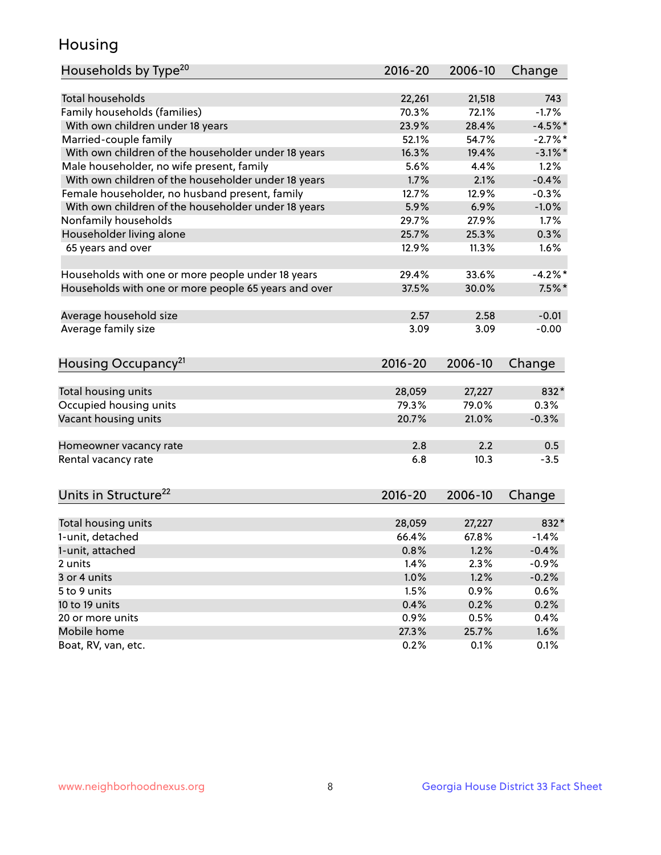## Housing

| Households by Type <sup>20</sup>                     | 2016-20     | 2006-10 | Change     |
|------------------------------------------------------|-------------|---------|------------|
|                                                      |             |         |            |
| <b>Total households</b>                              | 22,261      | 21,518  | 743        |
| Family households (families)                         | 70.3%       | 72.1%   | $-1.7%$    |
| With own children under 18 years                     | 23.9%       | 28.4%   | $-4.5%$ *  |
| Married-couple family                                | 52.1%       | 54.7%   | $-2.7%$    |
| With own children of the householder under 18 years  | 16.3%       | 19.4%   | $-3.1\%$ * |
| Male householder, no wife present, family            | 5.6%        | 4.4%    | 1.2%       |
| With own children of the householder under 18 years  | 1.7%        | 2.1%    | $-0.4%$    |
| Female householder, no husband present, family       | 12.7%       | 12.9%   | $-0.3%$    |
| With own children of the householder under 18 years  | 5.9%        | 6.9%    | $-1.0%$    |
| Nonfamily households                                 | 29.7%       | 27.9%   | 1.7%       |
| Householder living alone                             | 25.7%       | 25.3%   | 0.3%       |
| 65 years and over                                    | 12.9%       | 11.3%   | 1.6%       |
| Households with one or more people under 18 years    | 29.4%       | 33.6%   | $-4.2%$    |
| Households with one or more people 65 years and over | 37.5%       | 30.0%   | $7.5\%$ *  |
|                                                      |             |         |            |
| Average household size                               | 2.57        | 2.58    | $-0.01$    |
| Average family size                                  | 3.09        | 3.09    | $-0.00$    |
| Housing Occupancy <sup>21</sup>                      | $2016 - 20$ | 2006-10 | Change     |
|                                                      |             |         |            |
| Total housing units                                  | 28,059      | 27,227  | 832*       |
| Occupied housing units                               | 79.3%       | 79.0%   | 0.3%       |
| Vacant housing units                                 | 20.7%       | 21.0%   | $-0.3%$    |
|                                                      |             |         |            |
| Homeowner vacancy rate                               | 2.8         | 2.2     | 0.5        |
| Rental vacancy rate                                  | 6.8         | 10.3    | $-3.5$     |
| Units in Structure <sup>22</sup>                     | 2016-20     | 2006-10 | Change     |
|                                                      |             |         |            |
| Total housing units                                  | 28,059      | 27,227  | 832*       |
| 1-unit, detached                                     | 66.4%       | 67.8%   | $-1.4%$    |
| 1-unit, attached                                     | 0.8%        | 1.2%    | $-0.4%$    |
| 2 units                                              | 1.4%        | 2.3%    | $-0.9%$    |
| 3 or 4 units                                         | 1.0%        | 1.2%    | $-0.2%$    |
| 5 to 9 units                                         | 1.5%        | 0.9%    | 0.6%       |
| 10 to 19 units                                       | 0.4%        | 0.2%    | 0.2%       |
| 20 or more units                                     | 0.9%        | 0.5%    | 0.4%       |
| Mobile home                                          | 27.3%       | 25.7%   | 1.6%       |
| Boat, RV, van, etc.                                  | 0.2%        | 0.1%    | 0.1%       |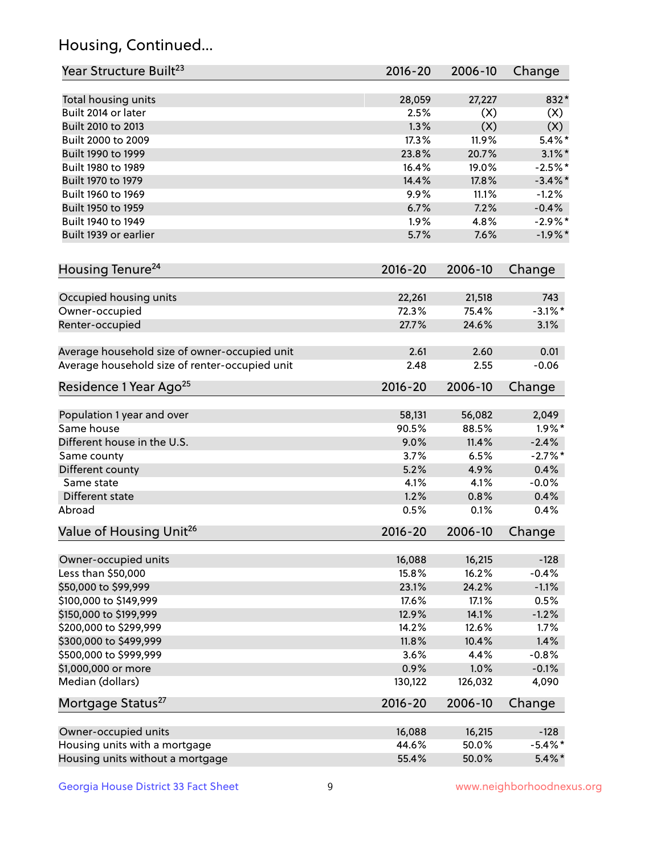## Housing, Continued...

| Year Structure Built <sup>23</sup>             | 2016-20      | 2006-10      | Change          |
|------------------------------------------------|--------------|--------------|-----------------|
| Total housing units                            | 28,059       | 27,227       | 832*            |
| Built 2014 or later                            | 2.5%         | (X)          | (X)             |
| Built 2010 to 2013                             | 1.3%         | (X)          | (X)             |
| Built 2000 to 2009                             | 17.3%        | 11.9%        | $5.4\%$ *       |
| Built 1990 to 1999                             | 23.8%        | 20.7%        | $3.1\%$ *       |
| Built 1980 to 1989                             | 16.4%        | 19.0%        | $-2.5%$ *       |
| Built 1970 to 1979                             | 14.4%        | 17.8%        | $-3.4\%$ *      |
| Built 1960 to 1969                             | 9.9%         | 11.1%        | $-1.2%$         |
| Built 1950 to 1959                             | 6.7%         | 7.2%         | $-0.4%$         |
| Built 1940 to 1949                             | 1.9%         | 4.8%         | $-2.9%$ *       |
| Built 1939 or earlier                          | 5.7%         | 7.6%         | $-1.9%$ *       |
|                                                |              |              |                 |
| Housing Tenure <sup>24</sup>                   | 2016-20      | 2006-10      | Change          |
| Occupied housing units                         | 22,261       | 21,518       | 743             |
| Owner-occupied                                 | 72.3%        | 75.4%        | $-3.1\%$ *      |
| Renter-occupied                                | 27.7%        | 24.6%        | 3.1%            |
|                                                |              |              |                 |
| Average household size of owner-occupied unit  | 2.61<br>2.48 | 2.60<br>2.55 | 0.01<br>$-0.06$ |
| Average household size of renter-occupied unit |              |              |                 |
| Residence 1 Year Ago <sup>25</sup>             | 2016-20      | 2006-10      | Change          |
| Population 1 year and over                     | 58,131       | 56,082       | 2,049           |
| Same house                                     | 90.5%        | 88.5%        | $1.9\%$ *       |
| Different house in the U.S.                    | 9.0%         | 11.4%        | $-2.4%$         |
| Same county                                    | 3.7%         | 6.5%         | $-2.7%$ *       |
| Different county                               | 5.2%         | 4.9%         | 0.4%            |
| Same state                                     | 4.1%         | 4.1%         | $-0.0%$         |
| Different state                                | 1.2%         | 0.8%         | 0.4%            |
| Abroad                                         | 0.5%         | 0.1%         | 0.4%            |
| Value of Housing Unit <sup>26</sup>            | $2016 - 20$  | 2006-10      | Change          |
|                                                |              |              |                 |
| Owner-occupied units                           | 16,088       | 16,215       | $-128$          |
| Less than \$50,000                             | 15.8%        | 16.2%        | $-0.4%$         |
| \$50,000 to \$99,999                           | 23.1%        | 24.2%        | $-1.1%$         |
| \$100,000 to \$149,999                         | 17.6%        | 17.1%        | 0.5%            |
| \$150,000 to \$199,999                         | 12.9%        | 14.1%        | $-1.2%$         |
| \$200,000 to \$299,999                         | 14.2%        | 12.6%        | 1.7%            |
| \$300,000 to \$499,999                         | 11.8%        | 10.4%        | 1.4%            |
| \$500,000 to \$999,999                         | 3.6%         | 4.4%         | $-0.8%$         |
| \$1,000,000 or more                            | 0.9%         | 1.0%         | $-0.1%$         |
| Median (dollars)                               | 130,122      | 126,032      | 4,090           |
| Mortgage Status <sup>27</sup>                  | $2016 - 20$  | 2006-10      | Change          |
| Owner-occupied units                           | 16,088       | 16,215       | $-128$          |
| Housing units with a mortgage                  | 44.6%        | 50.0%        | $-5.4\%$ *      |
| Housing units without a mortgage               | 55.4%        | 50.0%        | $5.4\%$ *       |
|                                                |              |              |                 |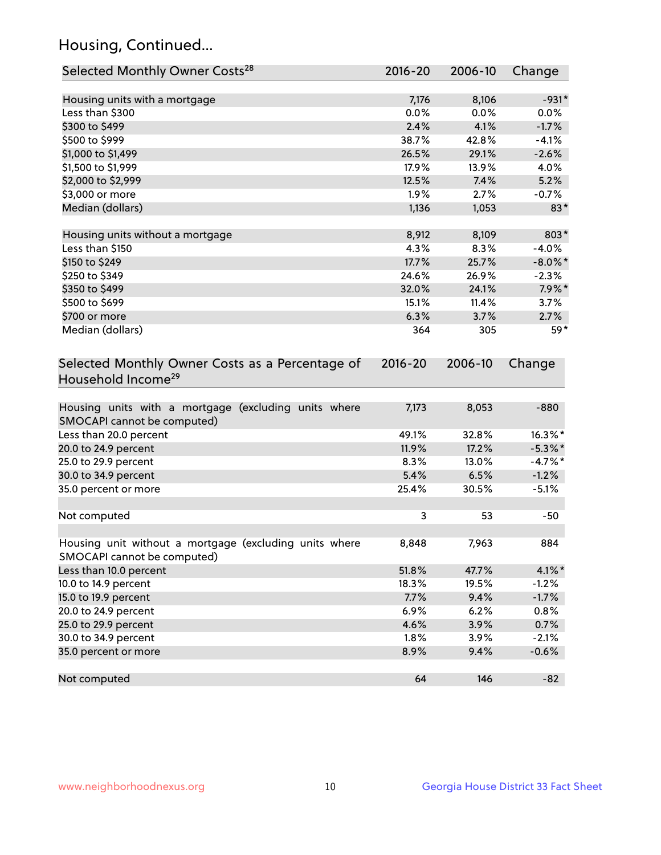## Housing, Continued...

| Selected Monthly Owner Costs <sup>28</sup>                                            | $2016 - 20$ | 2006-10 | Change     |
|---------------------------------------------------------------------------------------|-------------|---------|------------|
| Housing units with a mortgage                                                         | 7,176       | 8,106   | $-931*$    |
| Less than \$300                                                                       | 0.0%        | 0.0%    | 0.0%       |
| \$300 to \$499                                                                        | 2.4%        | 4.1%    | $-1.7%$    |
| \$500 to \$999                                                                        | 38.7%       | 42.8%   | $-4.1%$    |
| \$1,000 to \$1,499                                                                    | 26.5%       | 29.1%   | $-2.6%$    |
| \$1,500 to \$1,999                                                                    | 17.9%       | 13.9%   | 4.0%       |
| \$2,000 to \$2,999                                                                    | 12.5%       | 7.4%    | 5.2%       |
| \$3,000 or more                                                                       | 1.9%        | 2.7%    | $-0.7%$    |
| Median (dollars)                                                                      | 1,136       | 1,053   | 83*        |
| Housing units without a mortgage                                                      | 8,912       | 8,109   | 803*       |
| Less than \$150                                                                       | 4.3%        | 8.3%    | $-4.0%$    |
| \$150 to \$249                                                                        | 17.7%       | 25.7%   | $-8.0\%$ * |
| \$250 to \$349                                                                        | 24.6%       | 26.9%   | $-2.3%$    |
| \$350 to \$499                                                                        | 32.0%       | 24.1%   | $7.9\%$ *  |
| \$500 to \$699                                                                        | 15.1%       | 11.4%   | 3.7%       |
| \$700 or more                                                                         | 6.3%        | 3.7%    | 2.7%       |
| Median (dollars)                                                                      | 364         | 305     | 59*        |
| Selected Monthly Owner Costs as a Percentage of<br>Household Income <sup>29</sup>     | $2016 - 20$ | 2006-10 | Change     |
| Housing units with a mortgage (excluding units where<br>SMOCAPI cannot be computed)   | 7,173       | 8,053   | $-880$     |
| Less than 20.0 percent                                                                | 49.1%       | 32.8%   | $16.3\%$ * |
| 20.0 to 24.9 percent                                                                  | 11.9%       | 17.2%   | $-5.3\%$ * |
| 25.0 to 29.9 percent                                                                  | 8.3%        | 13.0%   | $-4.7\%$ * |
| 30.0 to 34.9 percent                                                                  | 5.4%        | 6.5%    | $-1.2%$    |
| 35.0 percent or more                                                                  | 25.4%       | 30.5%   | $-5.1%$    |
| Not computed                                                                          | 3           | 53      | $-50$      |
| Housing unit without a mortgage (excluding units where<br>SMOCAPI cannot be computed) | 8,848       | 7,963   | 884        |
| Less than 10.0 percent                                                                | 51.8%       | 47.7%   | $4.1\%$ *  |
| 10.0 to 14.9 percent                                                                  | 18.3%       | 19.5%   | $-1.2%$    |
| 15.0 to 19.9 percent                                                                  | 7.7%        | 9.4%    | $-1.7%$    |
| 20.0 to 24.9 percent                                                                  | 6.9%        | 6.2%    | 0.8%       |
| 25.0 to 29.9 percent                                                                  | 4.6%        | 3.9%    | 0.7%       |
| 30.0 to 34.9 percent                                                                  | 1.8%        | 3.9%    | $-2.1%$    |
| 35.0 percent or more                                                                  | 8.9%        | 9.4%    | $-0.6%$    |
| Not computed                                                                          | 64          | 146     | $-82$      |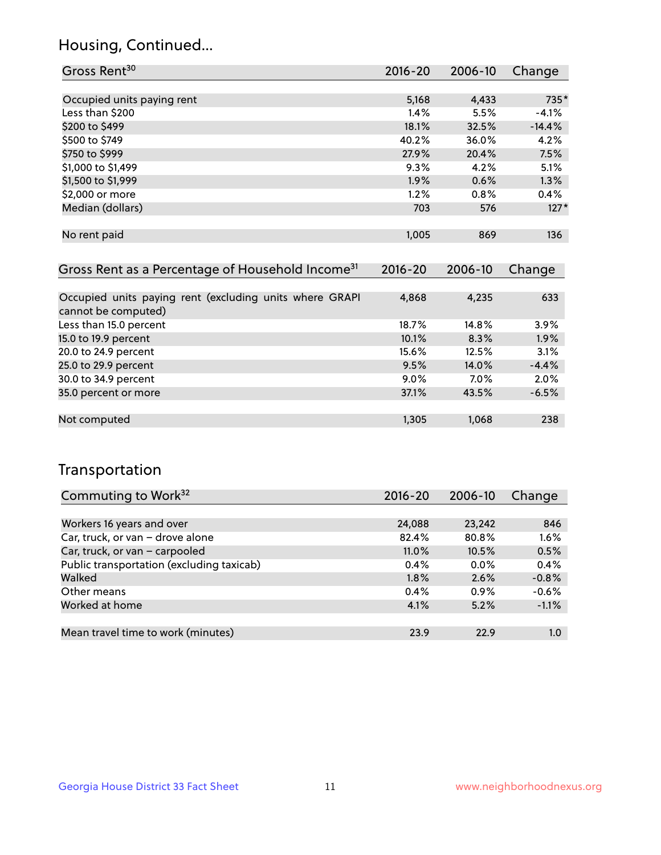### Housing, Continued...

| Gross Rent <sup>30</sup>   | 2016-20 | 2006-10 | Change   |
|----------------------------|---------|---------|----------|
|                            |         |         |          |
| Occupied units paying rent | 5,168   | 4,433   | 735*     |
| Less than \$200            | 1.4%    | 5.5%    | $-4.1%$  |
| \$200 to \$499             | 18.1%   | 32.5%   | $-14.4%$ |
| \$500 to \$749             | 40.2%   | 36.0%   | 4.2%     |
| \$750 to \$999             | 27.9%   | 20.4%   | 7.5%     |
| \$1,000 to \$1,499         | 9.3%    | 4.2%    | 5.1%     |
| \$1,500 to \$1,999         | 1.9%    | 0.6%    | 1.3%     |
| \$2,000 or more            | 1.2%    | 0.8%    | 0.4%     |
| Median (dollars)           | 703     | 576     | $127*$   |
|                            |         |         |          |
| No rent paid               | 1,005   | 869     | 136      |
|                            |         |         |          |
|                            |         |         |          |

| Gross Rent as a Percentage of Household Income <sup>31</sup>                   | $2016 - 20$ | 2006-10 | Change  |
|--------------------------------------------------------------------------------|-------------|---------|---------|
|                                                                                |             |         |         |
| Occupied units paying rent (excluding units where GRAPI<br>cannot be computed) | 4,868       | 4,235   | 633     |
| Less than 15.0 percent                                                         | 18.7%       | 14.8%   | 3.9%    |
| 15.0 to 19.9 percent                                                           | 10.1%       | 8.3%    | 1.9%    |
| 20.0 to 24.9 percent                                                           | 15.6%       | 12.5%   | 3.1%    |
| 25.0 to 29.9 percent                                                           | 9.5%        | 14.0%   | $-4.4%$ |
| 30.0 to 34.9 percent                                                           | 9.0%        | $7.0\%$ | 2.0%    |
| 35.0 percent or more                                                           | 37.1%       | 43.5%   | $-6.5%$ |
|                                                                                |             |         |         |
| Not computed                                                                   | 1,305       | 1,068   | 238     |

### Transportation

| Commuting to Work <sup>32</sup>           | 2016-20  | 2006-10 | Change  |
|-------------------------------------------|----------|---------|---------|
|                                           |          |         |         |
| Workers 16 years and over                 | 24,088   | 23,242  | 846     |
| Car, truck, or van - drove alone          | 82.4%    | 80.8%   | 1.6%    |
| Car, truck, or van - carpooled            | $11.0\%$ | 10.5%   | 0.5%    |
| Public transportation (excluding taxicab) | $0.4\%$  | $0.0\%$ | 0.4%    |
| Walked                                    | $1.8\%$  | 2.6%    | $-0.8%$ |
| Other means                               | 0.4%     | 0.9%    | $-0.6%$ |
| Worked at home                            | 4.1%     | 5.2%    | $-1.1%$ |
|                                           |          |         |         |
| Mean travel time to work (minutes)        | 23.9     | 22.9    | 1.0     |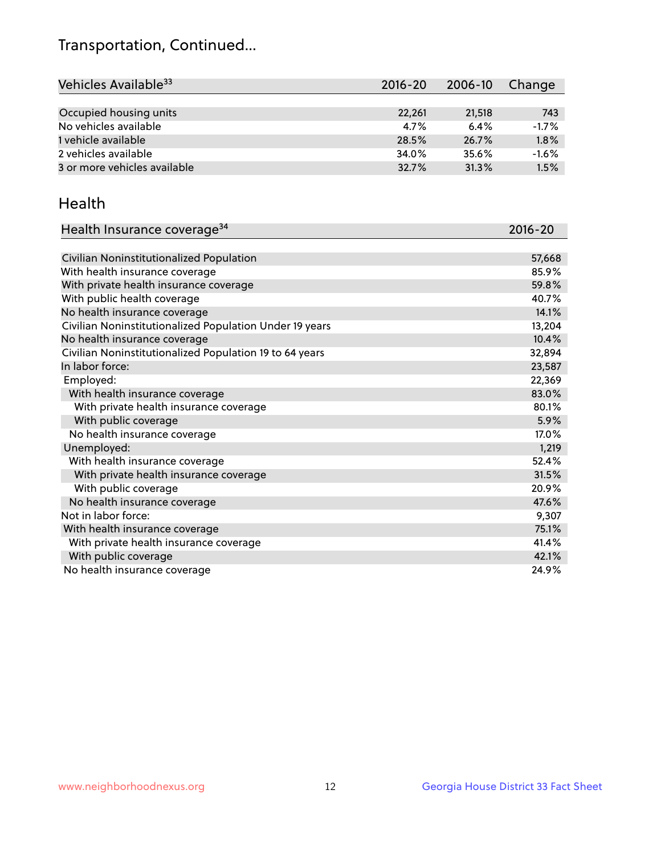## Transportation, Continued...

| Vehicles Available <sup>33</sup> | $2016 - 20$ | 2006-10 | Change  |
|----------------------------------|-------------|---------|---------|
|                                  |             |         |         |
| Occupied housing units           | 22,261      | 21,518  | 743     |
| No vehicles available            | 4.7%        | 6.4%    | $-1.7%$ |
| 1 vehicle available              | 28.5%       | 26.7%   | 1.8%    |
| 2 vehicles available             | 34.0%       | 35.6%   | $-1.6%$ |
| 3 or more vehicles available     | 32.7%       | 31.3%   | 1.5%    |

#### Health

| Health Insurance coverage <sup>34</sup>                 | 2016-20 |
|---------------------------------------------------------|---------|
|                                                         |         |
| Civilian Noninstitutionalized Population                | 57,668  |
| With health insurance coverage                          | 85.9%   |
| With private health insurance coverage                  | 59.8%   |
| With public health coverage                             | 40.7%   |
| No health insurance coverage                            | 14.1%   |
| Civilian Noninstitutionalized Population Under 19 years | 13,204  |
| No health insurance coverage                            | 10.4%   |
| Civilian Noninstitutionalized Population 19 to 64 years | 32,894  |
| In labor force:                                         | 23,587  |
| Employed:                                               | 22,369  |
| With health insurance coverage                          | 83.0%   |
| With private health insurance coverage                  | 80.1%   |
| With public coverage                                    | 5.9%    |
| No health insurance coverage                            | 17.0%   |
| Unemployed:                                             | 1,219   |
| With health insurance coverage                          | 52.4%   |
| With private health insurance coverage                  | 31.5%   |
| With public coverage                                    | 20.9%   |
| No health insurance coverage                            | 47.6%   |
| Not in labor force:                                     | 9,307   |
| With health insurance coverage                          | 75.1%   |
| With private health insurance coverage                  | 41.4%   |
| With public coverage                                    | 42.1%   |
| No health insurance coverage                            | 24.9%   |